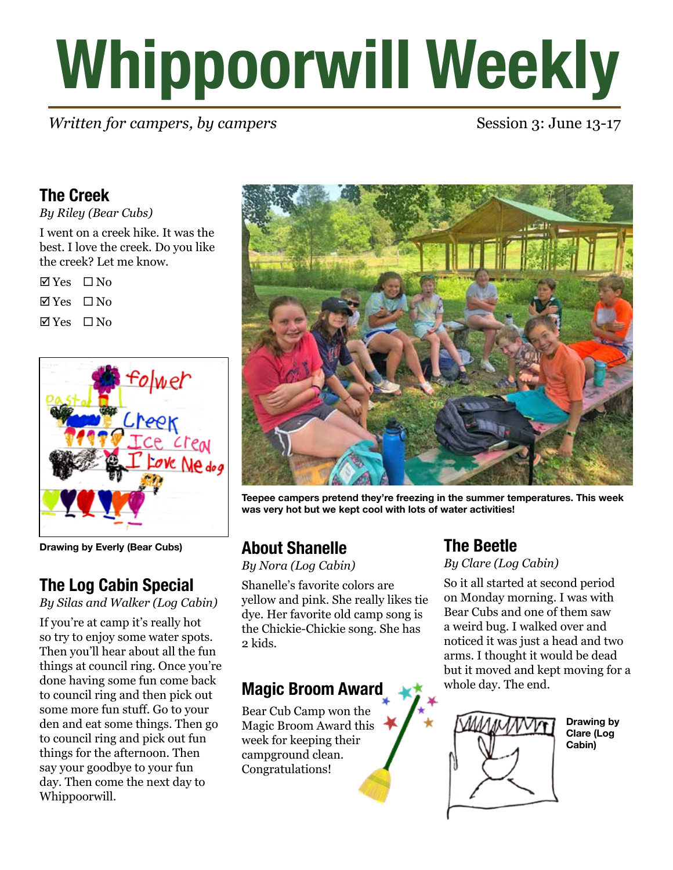# **Whippoorwill Weekly**

*Written for campers, by campers* Session 3: June 13-17

# **The Creek**

*By Riley (Bear Cubs)*

I went on a creek hike. It was the best. I love the creek. Do you like the creek? Let me know.

| $\boxtimes$ Yes | ∐ No |
|-----------------|------|
| $\nabla$ Yes    | □ No |
| $\boxtimes$ Yes | □ No |



**Drawing by Everly (Bear Cubs)**

# **The Log Cabin Special**

*By Silas and Walker (Log Cabin)*

If you're at camp it's really hot so try to enjoy some water spots. Then you'll hear about all the fun things at council ring. Once you're done having some fun come back to council ring and then pick out some more fun stuff. Go to your den and eat some things. Then go to council ring and pick out fun things for the afternoon. Then say your goodbye to your fun day. Then come the next day to Whippoorwill.



**Teepee campers pretend they're freezing in the summer temperatures. This week was very hot but we kept cool with lots of water activities!**

# **About Shanelle**

*By Nora (Log Cabin)*

Shanelle's favorite colors are yellow and pink. She really likes tie dye. Her favorite old camp song is the Chickie-Chickie song. She has 2 kids.

# **Magic Broom Award**

Bear Cub Camp won the Magic Broom Award this week for keeping their campground clean. Congratulations!

# **The Beetle**

*By Clare (Log Cabin)*

So it all started at second period on Monday morning. I was with Bear Cubs and one of them saw a weird bug. I walked over and noticed it was just a head and two arms. I thought it would be dead but it moved and kept moving for a whole day. The end.



**Drawing by Clare (Log Cabin)**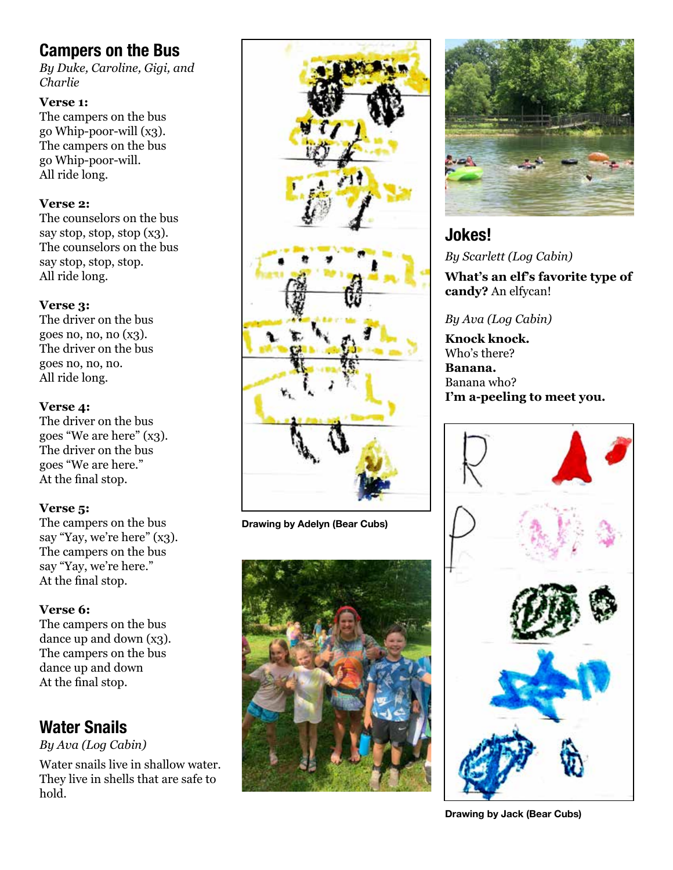# **Campers on the Bus**

*By Duke, Caroline, Gigi, and Charlie*

#### **Verse 1:**

The campers on the bus go Whip-poor-will (x3). The campers on the bus go Whip-poor-will. All ride long.

#### **Verse 2:**

The counselors on the bus say stop, stop, stop (x3). The counselors on the bus say stop, stop, stop. All ride long.

#### **Verse 3:**

The driver on the bus goes no, no, no (x3). The driver on the bus goes no, no, no. All ride long.

#### **Verse 4:**

The driver on the bus goes "We are here" (x3). The driver on the bus goes "We are here." At the final stop.

#### **Verse 5:**

The campers on the bus say "Yay, we're here" (x3). The campers on the bus say "Yay, we're here." At the final stop.

#### **Verse 6:**

The campers on the bus dance up and down (x3). The campers on the bus dance up and down At the final stop.

# **Water Snails**

*By Ava (Log Cabin)*

Water snails live in shallow water. They live in shells that are safe to hold.



**Drawing by Adelyn (Bear Cubs)**





### **Jokes!** *By Scarlett (Log Cabin)*

**What's an elf's favorite type of candy?** An elfycan!

#### *By Ava (Log Cabin)*

**Knock knock.** Who's there? **Banana.** Banana who? **I'm a-peeling to meet you.**



**Drawing by Jack (Bear Cubs)**